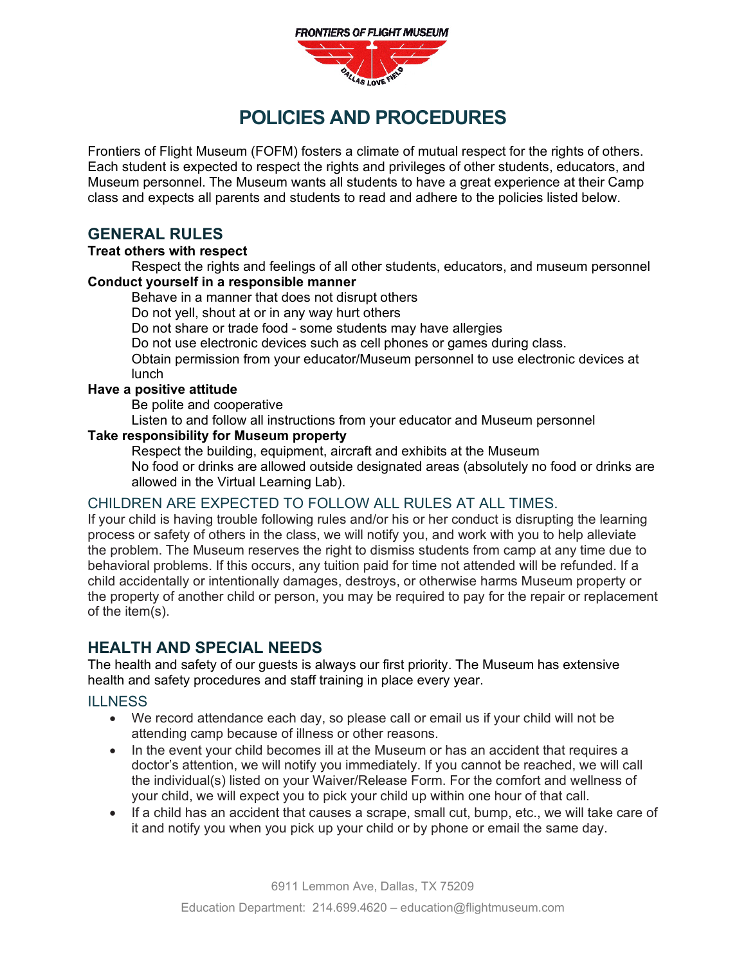

# **POLICIES AND PROCEDURES**

Frontiers of Flight Museum (FOFM) fosters a climate of mutual respect for the rights of others. Each student is expected to respect the rights and privileges of other students, educators, and Museum personnel. The Museum wants all students to have a great experience at their Camp class and expects all parents and students to read and adhere to the policies listed below.

# **GENERAL RULES**

#### **Treat others with respect**

Respect the rights and feelings of all other students, educators, and museum personnel **Conduct yourself in a responsible manner**

Behave in a manner that does not disrupt others

Do not yell, shout at or in any way hurt others

Do not share or trade food - some students may have allergies

Do not use electronic devices such as cell phones or games during class.

Obtain permission from your educator/Museum personnel to use electronic devices at lunch

#### **Have a positive attitude**

Be polite and cooperative

Listen to and follow all instructions from your educator and Museum personnel

### **Take responsibility for Museum property**

Respect the building, equipment, aircraft and exhibits at the Museum No food or drinks are allowed outside designated areas (absolutely no food or drinks are allowed in the Virtual Learning Lab).

#### CHILDREN ARE EXPECTED TO FOLLOW ALL RULES AT ALL TIMES.

If your child is having trouble following rules and/or his or her conduct is disrupting the learning process or safety of others in the class, we will notify you, and work with you to help alleviate the problem. The Museum reserves the right to dismiss students from camp at any time due to behavioral problems. If this occurs, any tuition paid for time not attended will be refunded. If a child accidentally or intentionally damages, destroys, or otherwise harms Museum property or the property of another child or person, you may be required to pay for the repair or replacement of the item(s).

## **HEALTH AND SPECIAL NEEDS**

The health and safety of our guests is always our first priority. The Museum has extensive health and safety procedures and staff training in place every year.

#### **ILLNESS**

- We record attendance each day, so please call or email us if your child will not be attending camp because of illness or other reasons.
- In the event your child becomes ill at the Museum or has an accident that requires a doctor's attention, we will notify you immediately. If you cannot be reached, we will call the individual(s) listed on your Waiver/Release Form. For the comfort and wellness of your child, we will expect you to pick your child up within one hour of that call.
- If a child has an accident that causes a scrape, small cut, bump, etc., we will take care of it and notify you when you pick up your child or by phone or email the same day.